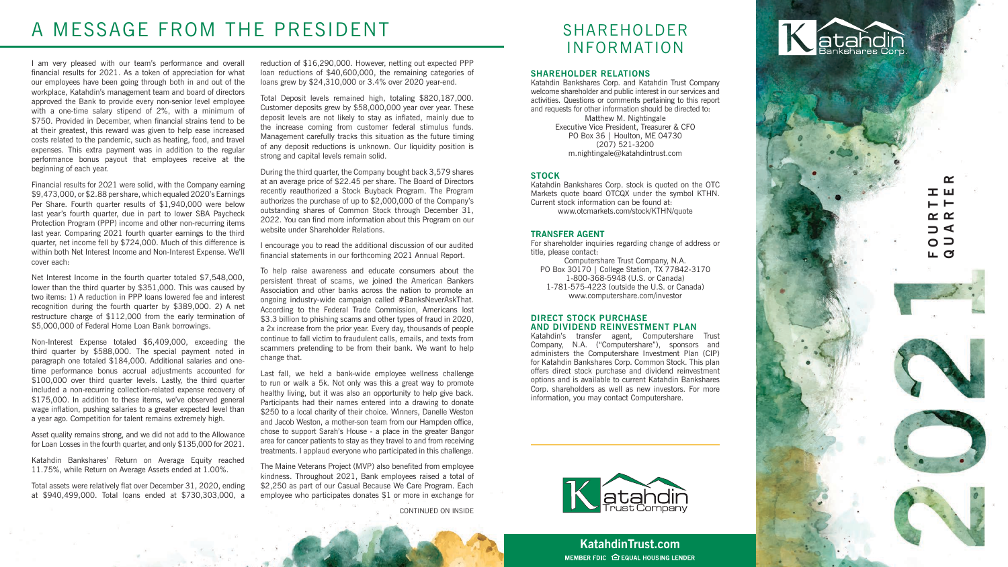I am very pleased with our team's performance and overall financial results for 2021. As a token of appreciation for what our employees have been going through both in and out of the workplace, Katahdin's management team and board of directors approved the Bank to provide every non-senior level employee with a one-time salary stipend of 2%, with a minimum of \$750. Provided in December, when financial strains tend to be at their greatest, this reward was given to help ease increased costs related to the pandemic, such as heating, food, and travel expenses. This extra payment was in addition to the regular performance bonus payout that employees receive at the beginning of each year.

Net Interest Income in the fourth quarter totaled \$7,548,000, lower than the third quarter by \$351,000. This was caused by two items: 1) A reduction in PPP loans lowered fee and interest recognition during the fourth quarter by \$389,000. 2) A net restructure charge of \$112,000 from the early termination of \$5,000,000 of Federal Home Loan Bank borrowings.

Financial results for 2021 were solid, with the Company earning \$9,473,000, or \$2.88 per share, which equaled 2020's Earnings Per Share. Fourth quarter results of \$1,940,000 were below last year's fourth quarter, due in part to lower SBA Paycheck Protection Program (PPP) income and other non-recurring items last year. Comparing 2021 fourth quarter earnings to the third quarter, net income fell by \$724,000. Much of this difference is within both Net Interest Income and Non-Interest Expense. We'll cover each:

I encourage you to read the additional discussion of our audited financial statements in our forthcoming 2021 Annual Report.

Non-Interest Expense totaled \$6,409,000, exceeding the third quarter by \$588,000. The special payment noted in paragraph one totaled \$184,000. Additional salaries and onetime performance bonus accrual adjustments accounted for \$100,000 over third quarter levels. Lastly, the third quarter included a non-recurring collection-related expense recovery of \$175,000. In addition to these items, we've observed general wage inflation, pushing salaries to a greater expected level than a year ago. Competition for talent remains extremely high.

Asset quality remains strong, and we did not add to the Allowance for Loan Losses in the fourth quarter, and only \$135,000 for 2021.

Katahdin Bankshares' Return on Average Equity reached 11.75%, while Return on Average Assets ended at 1.00%.

Total assets were relatively flat over December 31, 2020, ending at \$940,499,000. Total loans ended at \$730,303,000, a

> **KatahdinTrust.com** MEMBER FDIC **O** EQUAL HOUSING LENDER



#### $\alpha$ **QUARTER** 工口 **FOURTH**  $\vdash$   $\vdash$  $\propto \propto$  $\neg$   $\triangleleft$  $\circ$   $\supset$ ட α





reduction of \$16,290,000. However, netting out expected PPP loan reductions of \$40,600,000, the remaining categories of loans grew by \$24,310,000 or 3.4% over 2020 year-end.

Total Deposit levels remained high, totaling \$820,187,000. Customer deposits grew by \$58,000,000 year over year. These deposit levels are not likely to stay as inflated, mainly due to the increase coming from customer federal stimulus funds. Management carefully tracks this situation as the future timing of any deposit reductions is unknown. Our liquidity position is strong and capital levels remain solid.

During the third quarter, the Company bought back 3,579 shares at an average price of \$22.45 per share. The Board of Directors recently reauthorized a Stock Buyback Program. The Program authorizes the purchase of up to \$2,000,000 of the Company's outstanding shares of Common Stock through December 31, 2022. You can find more information about this Program on our website under Shareholder Relations.

To help raise awareness and educate consumers about the persistent threat of scams, we joined the American Bankers Association and other banks across the nation to promote an ongoing industry-wide campaign called #BanksNeverAskThat. According to the Federal Trade Commission, Americans lost \$3.3 billion to phishing scams and other types of fraud in 2020. a 2x increase from the prior year. Every day, thousands of people continue to fall victim to fraudulent calls, emails, and texts from scammers pretending to be from their bank. We want to help change that.

Last fall, we held a bank-wide employee wellness challenge to run or walk a 5k. Not only was this a great way to promote healthy living, but it was also an opportunity to help give back. Participants had their names entered into a drawing to donate \$250 to a local charity of their choice. Winners, Danelle Weston and Jacob Weston, a mother-son team from our Hampden office, chose to support Sarah's House - a place in the greater Bangor area for cancer patients to stay as they travel to and from receiving treatments. I applaud everyone who participated in this challenge.

The Maine Veterans Project (MVP) also benefited from employee kindness. Throughout 2021, Bank employees raised a total of \$2,250 as part of our Casual Because We Care Program. Each employee who participates donates \$1 or more in exchange for

## A MESSAGE FROM THE PRESIDENT

## SHAREHOLDER INFORMATION

#### **SHAREHOLDER RELATIONS**

Katahdin Bankshares Corp. and Katahdin Trust Company welcome shareholder and public interest in our services and activities. Questions or comments pertaining to this report and requests for other information should be directed to: Matthew M. Nightingale Executive Vice President, Treasurer & CFO PO Box 36 | Houlton, ME 04730 (207) 521-3200 m.nightingale@katahdintrust.com

#### **STOCK**

Katahdin Bankshares Corp. stock is quoted on the OTC Markets quote board OTCQX under the symbol KTHN. Current stock information can be found at: www.otcmarkets.com/stock/KTHN/quote

#### **TRANSFER AGENT**

For shareholder inquiries regarding change of address or title, please contact:

Computershare Trust Company, N.A. PO Box 30170 | College Station, TX 77842-3170 1-800-368-5948 (U.S. or Canada) 1-781-575-4223 (outside the U.S. or Canada) www.computershare.com/investor

#### **DIRECT STOCK PURCHASE AND DIVIDEND REINVESTMENT PLAN**

Katahdin's transfer agent, Computershare Trust Company, N.A. ("Computershare"), sponsors and administers the Computershare Investment Plan (CIP) for Katahdin Bankshares Corp. Common Stock. This plan offers direct stock purchase and dividend reinvestment options and is available to current Katahdin Bankshares Corp. shareholders as well as new investors. For more information, you may contact Computershare.



CONTINUED ON INSIDE